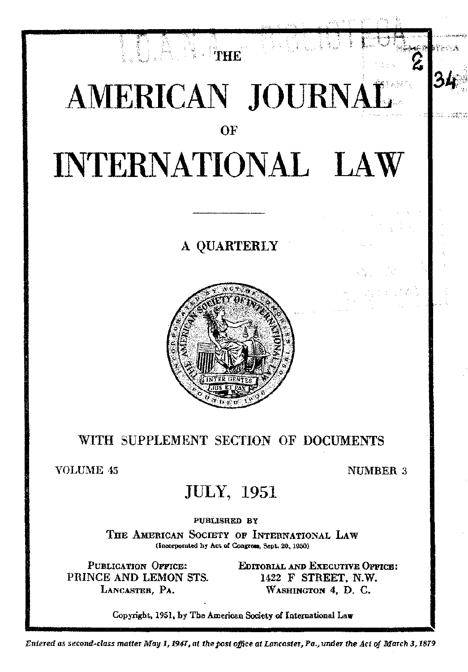

### WITH SUPPLEMENT SECTION OF DOCUMENTS

**VOLUME 45** 

NUMBER 3

### **JULY, 1951**

PUBLISHED BY

THE AMERICAN SOCIETY OF INTERNATIONAL LAW (Incorporated by Act of Congress, Sept. 20, 1950)

PUBLICATION OFFICE: PRINCE AND LEMON STS. LANCASTER, PA.

EDITORIAL AND EXECUTIVE OPPICE: 1422 F STREET, N.W. WASHINGTON 4, D. C.

Copyright, 1951, by The American Society of International Law

Entered as second-class matter May 1, 1947, at the post office at Lancaster, Pa., under the Act of March 3, 1879